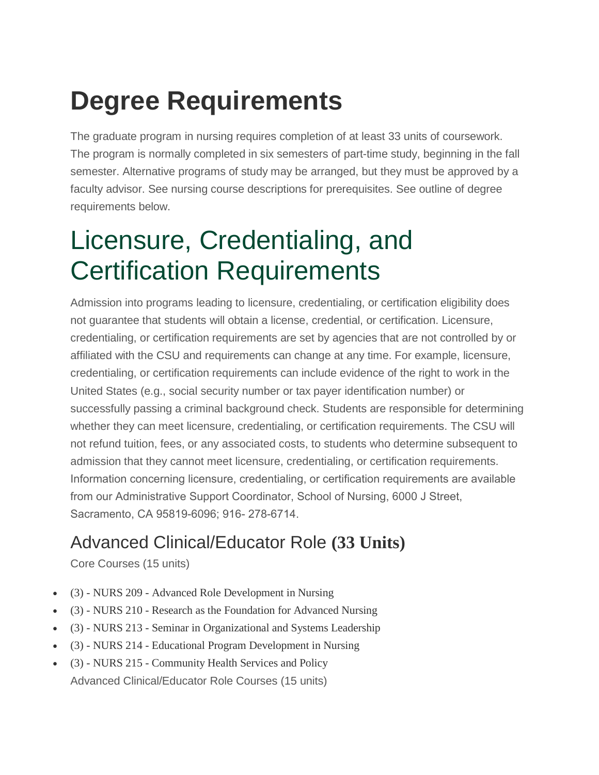## **Degree Requirements**

The graduate program in nursing requires completion of at least 33 units of coursework. The program is normally completed in six semesters of part-time study, beginning in the fall semester. Alternative programs of study may be arranged, but they must be approved by a faculty advisor. See nursing course descriptions for prerequisites. See outline of degree requirements below.

## Licensure, Credentialing, and Certification Requirements

Admission into programs leading to licensure, credentialing, or certification eligibility does not guarantee that students will obtain a license, credential, or certification. Licensure, credentialing, or certification requirements are set by agencies that are not controlled by or affiliated with the CSU and requirements can change at any time. For example, licensure, credentialing, or certification requirements can include evidence of the right to work in the United States (e.g., social security number or tax payer identification number) or successfully passing a criminal background check. Students are responsible for determining whether they can meet licensure, credentialing, or certification requirements. The CSU will not refund tuition, fees, or any associated costs, to students who determine subsequent to admission that they cannot meet licensure, credentialing, or certification requirements. Information concerning licensure, credentialing, or certification requirements are available from our Administrative Support Coordinator, School of Nursing, 6000 J Street, Sacramento, CA 95819-6096; 916- 278-6714.

## Advanced Clinical/Educator Role **(33 Units)**

Core Courses (15 units)

- (3) NURS 209 Advanced Role Development in Nursing
- (3) NURS 210 Research as the Foundation for Advanced Nursing
- (3) NURS 213 Seminar in Organizational and Systems Leadership
- (3) NURS 214 Educational Program Development in Nursing
- (3) NURS 215 Community Health Services and Policy Advanced Clinical/Educator Role Courses (15 units)